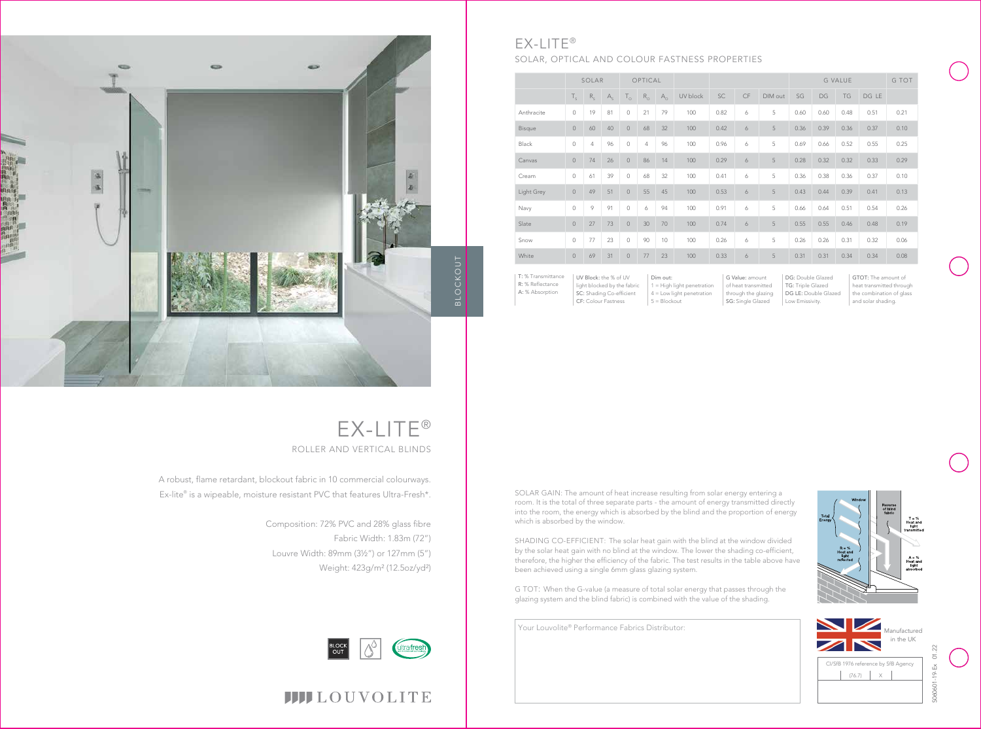Your Louvolite® Performance Fabrics Distributor:

DG: Double Glazed TG: Triple Glazed DG LE: Double Glazed Low Emissivity.

Dim out: 1 = High light penetration 4 = Low light penetration  $5 = Blockout$ 

|               | SOLAR          |                |         | OPTICAL        |             |             |          |      |    |         | G VALUE |      |      |       | G TOT |
|---------------|----------------|----------------|---------|----------------|-------------|-------------|----------|------|----|---------|---------|------|------|-------|-------|
|               | $T_{\rm s}$    | $R_{S}$        | $A_{s}$ | $T_{\Omega}$   | $R_{\odot}$ | $A_{\odot}$ | UV block | SC   | CF | DIM out | SG      | DG   | TG   | DG LE |       |
| Anthracite    | $\circ$        | 19             | 81      | $\mathbf 0$    | 21          | 79          | 100      | 0.82 | 6  | 5       | 0.60    | 0.60 | 0.48 | 0.51  | 0.21  |
| <b>Bisque</b> | $\circ$        | 60             | 40      | $\circ$        | 68          | 32          | 100      | 0.42 | 6  | 5       | 0.36    | 0.39 | 0.36 | 0.37  | 0.10  |
| Black         | $\mathbf 0$    | $\overline{4}$ | 96      | $\mathbf 0$    | 4           | 96          | 100      | 0.96 | 6  | 5       | 0.69    | 0.66 | 0.52 | 0.55  | 0.25  |
| Canvas        | $\overline{0}$ | 74             | 26      | $\circ$        | 86          | 14          | 100      | 0.29 | 6  | 5       | 0.28    | 0.32 | 0.32 | 0.33  | 0.29  |
| Cream         | $\mathbf 0$    | 61             | 39      | $\circ$        | 68          | 32          | 100      | 0.41 | 6  | 5       | 0.36    | 0.38 | 0.36 | 0.37  | 0.10  |
| Light Grey    | $\overline{0}$ | 49             | 51      | $\circ$        | 55          | 45          | 100      | 0.53 | 6  | 5       | 0.43    | 0.44 | 0.39 | 0.41  | 0.13  |
| Navy          | $\mathbf 0$    | 9              | 91      | $\circ$        | 6           | 94          | 100      | 0.91 | 6  | 5       | 0.66    | 0.64 | 0.51 | 0.54  | 0.26  |
| Slate         | $\overline{0}$ | 27             | 73      | $\circ$        | 30          | 70          | 100      | 0.74 | 6  | 5       | 0.55    | 0.55 | 0.46 | 0.48  | 0.19  |
| Snow          | $\circ$        | 77             | 23      | $\mathbf 0$    | 90          | 10          | 100      | 0.26 | 6  | 5       | 0.26    | 0.26 | 0.31 | 0.32  | 0.06  |
| White         | $\mathbf 0$    | 69             | 31      | $\circledcirc$ | 77          | 23          | 100      | 0.33 | 6  | 5       | 0.31    | 0.31 | 0.34 | 0.34  | 0.08  |

G Value: amount of heat transmitted through the glazing SG: Single Glazed

## EX-LITE® ROLLER AND VERTICAL BLINDS





UV Block: the % of UV light blocked by the fabric SC: Shading Co-efficient CF: Colour Fastness T: % Transmittance R: % Reflectance A: % Absorption

GTOT: The amount of heat transmitted through the combination of glass and solar shading.



### EX-LITE® SOLAR, OPTICAL AND COLOUR FASTNESS PROPERTIES



A robust, flame retardant, blockout fabric in 10 commercial colourways. Ex-lite® is a wipeable, moisture resistant PVC that features Ultra-Fresh\*.

> Composition: 72% PVC and 28% glass fibre Fabric Width: 1.83m (72") Louvre Width: 89mm (3½") or 127mm (5") Weight: 423g/m² (12.5oz/yd²)



## **IIII**LOUVOLITE

SOLAR GAIN: The amount of heat increase resulting from solar energy entering a room. It is the total of three separate parts - the amount of energy transmitted directly into the room, the energy which is absorbed by the blind and the proportion of energy which is absorbed by the window.

SHADING CO-EFFICIENT: The solar heat gain with the blind at the window divided by the solar heat gain with no blind at the window. The lower the shading co-efficient, therefore, the higher the efficiency of the fabric. The test results in the table above have been achieved using a single 6mm glass glazing system.

G TOT: When the G-value (a measure of total solar energy that passes through the glazing system and the blind fabric) is combined with the value of the shading.